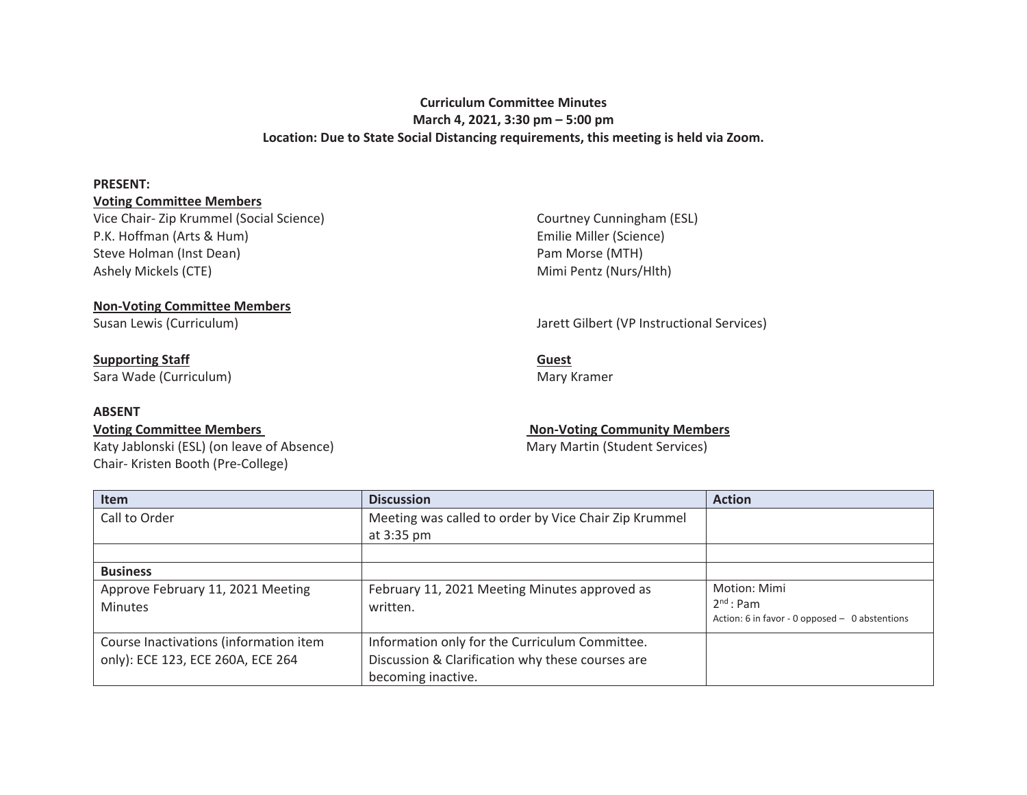## **Curriculum Committee Minutes March 4, 2021, 3:30 pm – 5:00 pm Location: Due to State Social Distancing requirements, this meeting is held via Zoom.**

### **PRESENT:**

## **Voting Committee Members**

Vice Chair- Zip Krummel (Social Science) P.K. Hoffman (Arts & Hum) Steve Holman (Inst Dean) Ashely Mickels (CTE)

Courtney Cunningham (ESL) Emilie Miller (Science) Pam Morse (MTH) Mimi Pentz (Nurs/Hlth)

# **Non-Voting Committee Members**

## **Supporting Staff**

Sara Wade (Curriculum)

## **ABSENT**

Katy Jablonski (ESL) (on leave of Absence) Mary Martin (Student Services) Chair- Kristen Booth (Pre-College)

## Susan Lewis (Curriculum) Jarett Gilbert (VP Instructional Services)

**Guest**  Mary Kramer

## Voting Committee Members **Non-Voting Community Members** Non-Voting Community Members

| <b>Item</b>                            | <b>Discussion</b>                                     | <b>Action</b>                                    |
|----------------------------------------|-------------------------------------------------------|--------------------------------------------------|
| Call to Order                          | Meeting was called to order by Vice Chair Zip Krummel |                                                  |
|                                        | at 3:35 pm                                            |                                                  |
|                                        |                                                       |                                                  |
| <b>Business</b>                        |                                                       |                                                  |
| Approve February 11, 2021 Meeting      | February 11, 2021 Meeting Minutes approved as         | Motion: Mimi                                     |
| <b>Minutes</b>                         | written.                                              | $2nd$ : Pam                                      |
|                                        |                                                       | Action: 6 in favor - 0 opposed $-$ 0 abstentions |
| Course Inactivations (information item | Information only for the Curriculum Committee.        |                                                  |
| only): ECE 123, ECE 260A, ECE 264      | Discussion & Clarification why these courses are      |                                                  |
|                                        | becoming inactive.                                    |                                                  |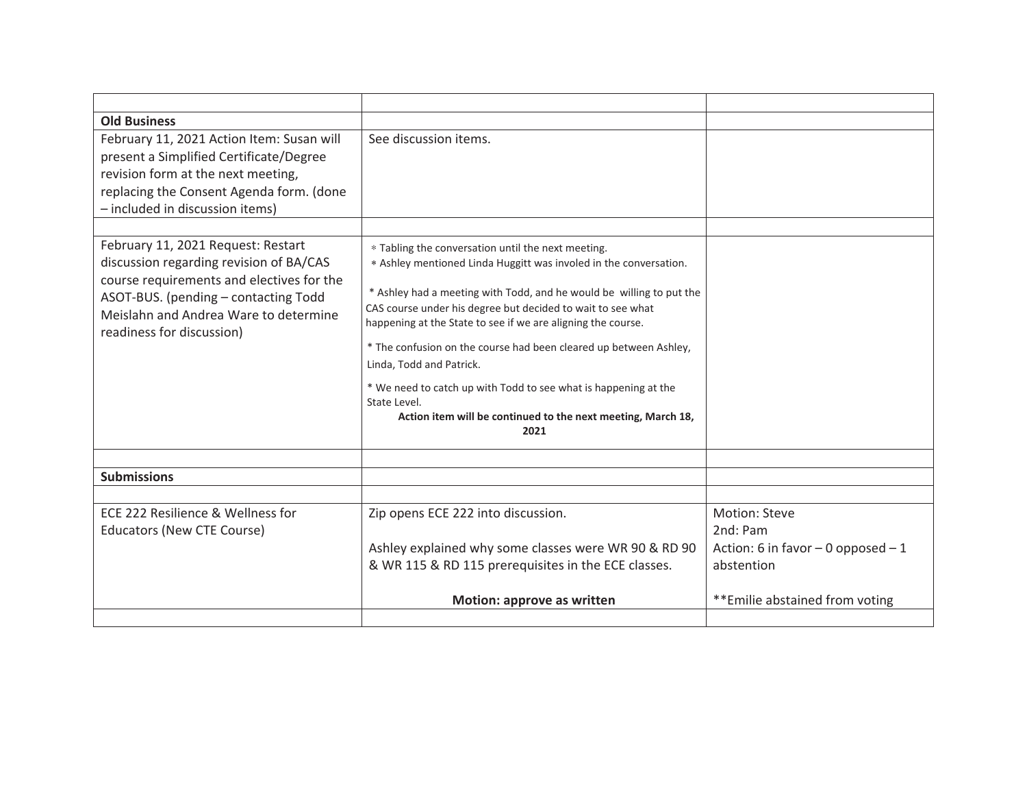| <b>Old Business</b>                                                                                                                                                                                                                      |                                                                                                                                                                                                                                                                                                                                                                                                                                                                                                                                                                                            |                                                                                  |
|------------------------------------------------------------------------------------------------------------------------------------------------------------------------------------------------------------------------------------------|--------------------------------------------------------------------------------------------------------------------------------------------------------------------------------------------------------------------------------------------------------------------------------------------------------------------------------------------------------------------------------------------------------------------------------------------------------------------------------------------------------------------------------------------------------------------------------------------|----------------------------------------------------------------------------------|
| February 11, 2021 Action Item: Susan will<br>present a Simplified Certificate/Degree<br>revision form at the next meeting,<br>replacing the Consent Agenda form. (done<br>- included in discussion items)                                | See discussion items.                                                                                                                                                                                                                                                                                                                                                                                                                                                                                                                                                                      |                                                                                  |
| February 11, 2021 Request: Restart<br>discussion regarding revision of BA/CAS<br>course requirements and electives for the<br>ASOT-BUS. (pending - contacting Todd<br>Meislahn and Andrea Ware to determine<br>readiness for discussion) | * Tabling the conversation until the next meeting.<br>* Ashley mentioned Linda Huggitt was involed in the conversation.<br>* Ashley had a meeting with Todd, and he would be willing to put the<br>CAS course under his degree but decided to wait to see what<br>happening at the State to see if we are aligning the course.<br>* The confusion on the course had been cleared up between Ashley,<br>Linda, Todd and Patrick.<br>* We need to catch up with Todd to see what is happening at the<br>State Level.<br>Action item will be continued to the next meeting, March 18,<br>2021 |                                                                                  |
| <b>Submissions</b>                                                                                                                                                                                                                       |                                                                                                                                                                                                                                                                                                                                                                                                                                                                                                                                                                                            |                                                                                  |
|                                                                                                                                                                                                                                          |                                                                                                                                                                                                                                                                                                                                                                                                                                                                                                                                                                                            |                                                                                  |
| ECE 222 Resilience & Wellness for<br><b>Educators (New CTE Course)</b>                                                                                                                                                                   | Zip opens ECE 222 into discussion.<br>Ashley explained why some classes were WR 90 & RD 90<br>& WR 115 & RD 115 prerequisites in the ECE classes.                                                                                                                                                                                                                                                                                                                                                                                                                                          | Motion: Steve<br>2nd: Pam<br>Action: 6 in favor $-$ 0 opposed $-1$<br>abstention |
|                                                                                                                                                                                                                                          | Motion: approve as written                                                                                                                                                                                                                                                                                                                                                                                                                                                                                                                                                                 | **Emilie abstained from voting                                                   |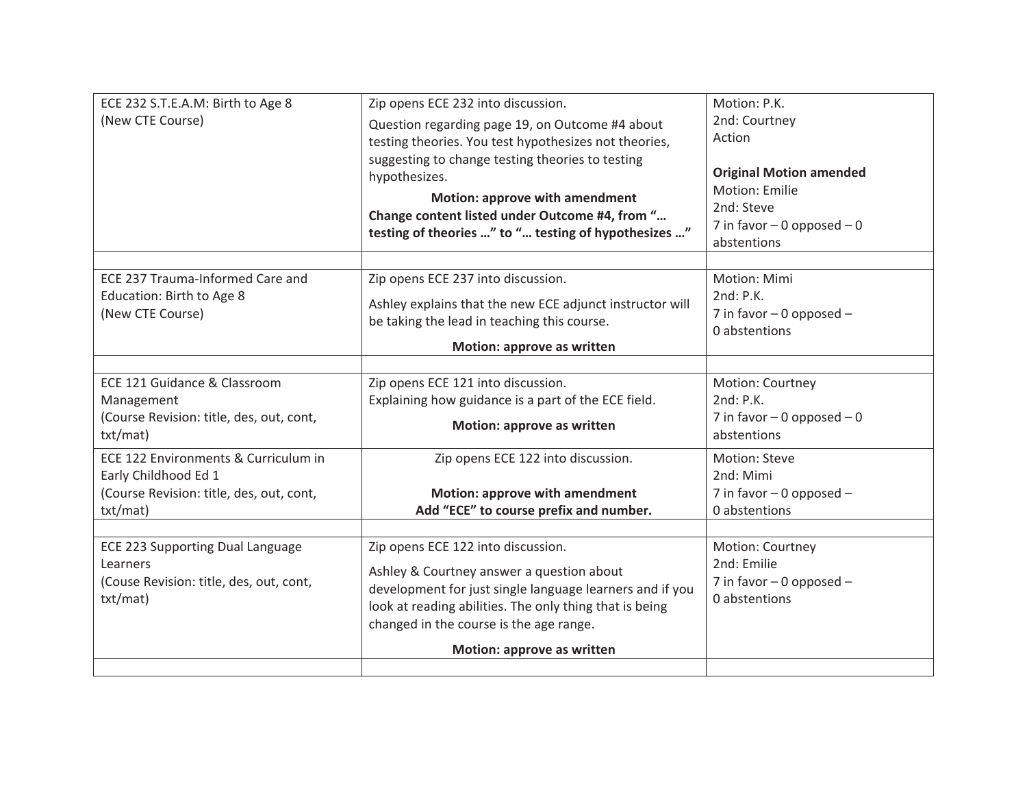| ECE 232 S.T.E.A.M: Birth to Age 8<br>(New CTE Course)                                                                | Zip opens ECE 232 into discussion.<br>Question regarding page 19, on Outcome #4 about<br>testing theories. You test hypothesizes not theories,<br>suggesting to change testing theories to testing<br>hypothesizes.<br><b>Motion: approve with amendment</b><br>Change content listed under Outcome #4, from " | Motion: P.K.<br>2nd: Courtney<br>Action<br><b>Original Motion amended</b><br>Motion: Emilie<br>2nd: Steve |
|----------------------------------------------------------------------------------------------------------------------|----------------------------------------------------------------------------------------------------------------------------------------------------------------------------------------------------------------------------------------------------------------------------------------------------------------|-----------------------------------------------------------------------------------------------------------|
|                                                                                                                      | testing of theories " to " testing of hypothesizes "                                                                                                                                                                                                                                                           | 7 in favor $-0$ opposed $-0$<br>abstentions                                                               |
| ECE 237 Trauma-Informed Care and<br>Education: Birth to Age 8<br>(New CTE Course)                                    | Zip opens ECE 237 into discussion.<br>Ashley explains that the new ECE adjunct instructor will<br>be taking the lead in teaching this course.<br>Motion: approve as written                                                                                                                                    | Motion: Mimi<br>2nd: P.K.<br>7 in favor $-$ 0 opposed $-$<br>0 abstentions                                |
| ECE 121 Guidance & Classroom<br>Management<br>(Course Revision: title, des, out, cont,<br>txt/mat)                   | Zip opens ECE 121 into discussion.<br>Explaining how guidance is a part of the ECE field.<br>Motion: approve as written                                                                                                                                                                                        | Motion: Courtney<br>2nd: P.K.<br>7 in favor $-0$ opposed $-0$<br>abstentions                              |
| ECE 122 Environments & Curriculum in<br>Early Childhood Ed 1<br>(Course Revision: title, des, out, cont,<br>txt/mat) | Zip opens ECE 122 into discussion.<br><b>Motion: approve with amendment</b><br>Add "ECE" to course prefix and number.                                                                                                                                                                                          | Motion: Steve<br>2nd: Mimi<br>7 in favor $-$ 0 opposed $-$<br>0 abstentions                               |
| <b>ECE 223 Supporting Dual Language</b><br>Learners<br>(Couse Revision: title, des, out, cont,<br>txt/mat)           | Zip opens ECE 122 into discussion.<br>Ashley & Courtney answer a question about<br>development for just single language learners and if you<br>look at reading abilities. The only thing that is being<br>changed in the course is the age range.<br>Motion: approve as written                                | Motion: Courtney<br>2nd: Emilie<br>7 in favor $-$ 0 opposed $-$<br>0 abstentions                          |
|                                                                                                                      |                                                                                                                                                                                                                                                                                                                |                                                                                                           |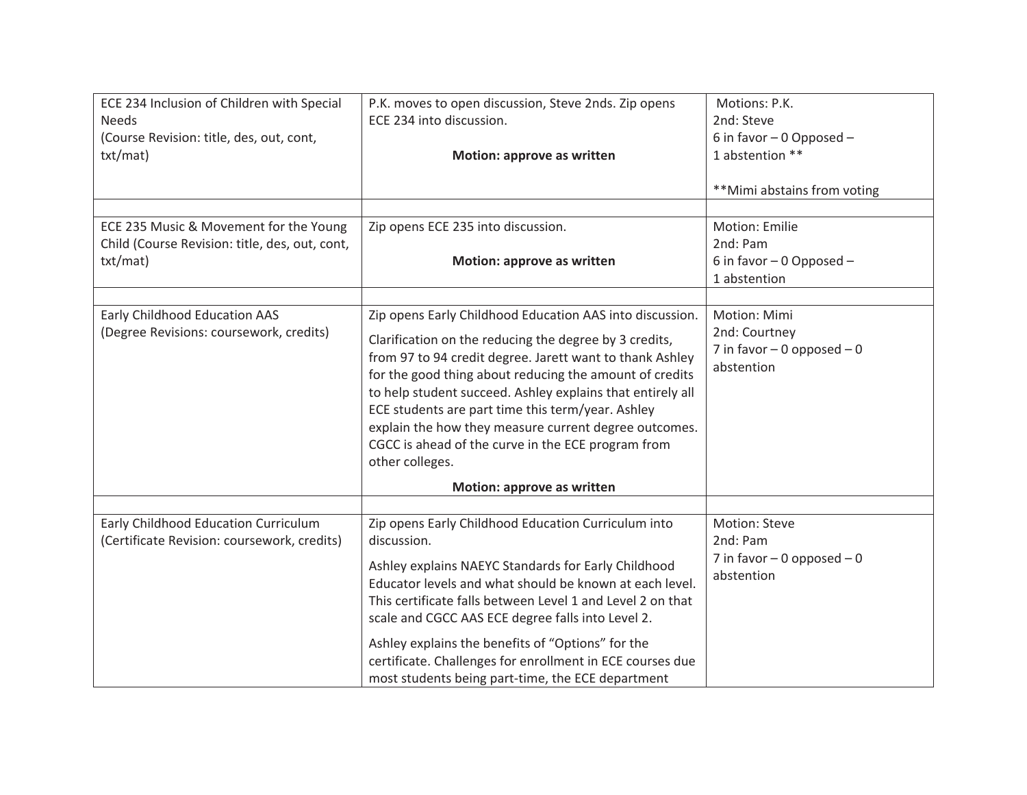| ECE 234 Inclusion of Children with Special<br><b>Needs</b><br>(Course Revision: title, des, out, cont,<br>txt/mat) | P.K. moves to open discussion, Steve 2nds. Zip opens<br>ECE 234 into discussion.<br>Motion: approve as written                                                                                                                                                                                                                                                                                                                                                                                 | Motions: P.K.<br>2nd: Steve<br>6 in favor $-0$ Opposed $-$<br>1 abstention **<br>**Mimi abstains from voting |
|--------------------------------------------------------------------------------------------------------------------|------------------------------------------------------------------------------------------------------------------------------------------------------------------------------------------------------------------------------------------------------------------------------------------------------------------------------------------------------------------------------------------------------------------------------------------------------------------------------------------------|--------------------------------------------------------------------------------------------------------------|
| ECE 235 Music & Movement for the Young<br>Child (Course Revision: title, des, out, cont,<br>txt/mat)               | Zip opens ECE 235 into discussion.<br>Motion: approve as written                                                                                                                                                                                                                                                                                                                                                                                                                               | Motion: Emilie<br>2nd: Pam<br>6 in favor - 0 Opposed -<br>1 abstention                                       |
| Early Childhood Education AAS<br>(Degree Revisions: coursework, credits)                                           | Zip opens Early Childhood Education AAS into discussion.<br>Clarification on the reducing the degree by 3 credits,<br>from 97 to 94 credit degree. Jarett want to thank Ashley<br>for the good thing about reducing the amount of credits<br>to help student succeed. Ashley explains that entirely all<br>ECE students are part time this term/year. Ashley<br>explain the how they measure current degree outcomes.<br>CGCC is ahead of the curve in the ECE program from<br>other colleges. | Motion: Mimi<br>2nd: Courtney<br>7 in favor $-0$ opposed $-0$<br>abstention                                  |
|                                                                                                                    | Motion: approve as written                                                                                                                                                                                                                                                                                                                                                                                                                                                                     |                                                                                                              |
| Early Childhood Education Curriculum<br>(Certificate Revision: coursework, credits)                                | Zip opens Early Childhood Education Curriculum into<br>discussion.<br>Ashley explains NAEYC Standards for Early Childhood<br>Educator levels and what should be known at each level.<br>This certificate falls between Level 1 and Level 2 on that<br>scale and CGCC AAS ECE degree falls into Level 2.<br>Ashley explains the benefits of "Options" for the<br>certificate. Challenges for enrollment in ECE courses due<br>most students being part-time, the ECE department                 | Motion: Steve<br>2nd: Pam<br>7 in favor $-0$ opposed $-0$<br>abstention                                      |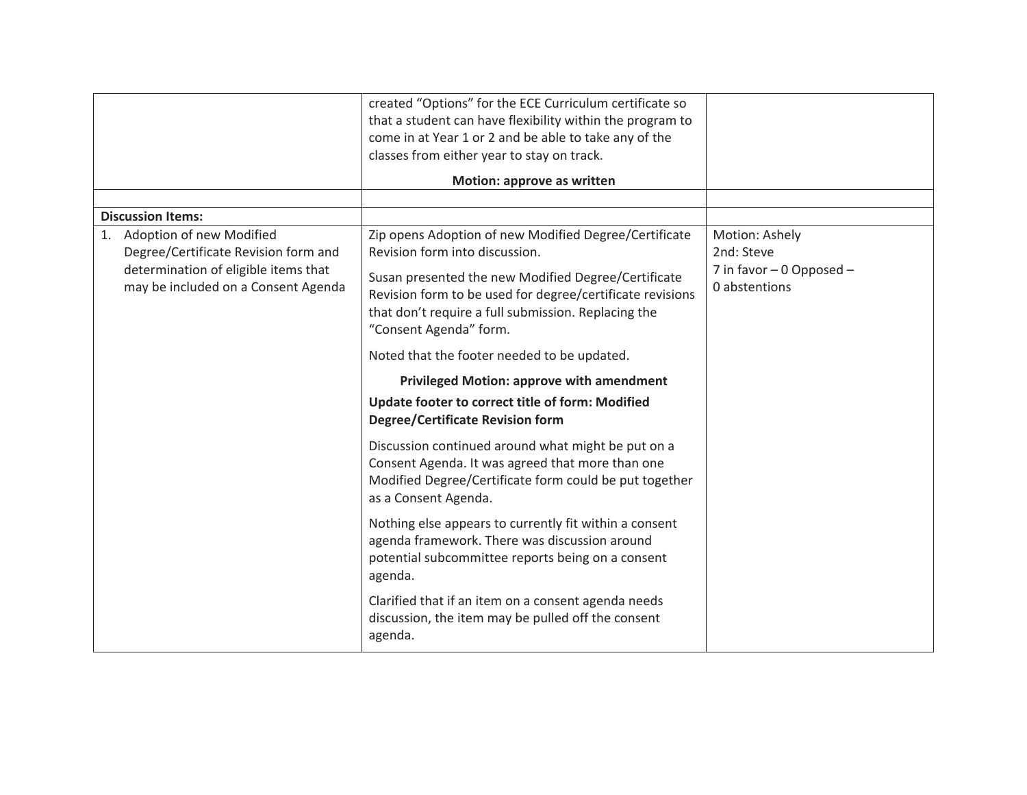|                                                                                                                                                                                   | created "Options" for the ECE Curriculum certificate so<br>that a student can have flexibility within the program to<br>come in at Year 1 or 2 and be able to take any of the<br>classes from either year to stay on track.                                                                  |                                                                              |
|-----------------------------------------------------------------------------------------------------------------------------------------------------------------------------------|----------------------------------------------------------------------------------------------------------------------------------------------------------------------------------------------------------------------------------------------------------------------------------------------|------------------------------------------------------------------------------|
|                                                                                                                                                                                   | Motion: approve as written                                                                                                                                                                                                                                                                   |                                                                              |
|                                                                                                                                                                                   |                                                                                                                                                                                                                                                                                              |                                                                              |
| <b>Discussion Items:</b><br>Adoption of new Modified<br>1.<br>Degree/Certificate Revision form and<br>determination of eligible items that<br>may be included on a Consent Agenda | Zip opens Adoption of new Modified Degree/Certificate<br>Revision form into discussion.<br>Susan presented the new Modified Degree/Certificate<br>Revision form to be used for degree/certificate revisions<br>that don't require a full submission. Replacing the<br>"Consent Agenda" form. | Motion: Ashely<br>2nd: Steve<br>7 in favor $-0$ Opposed $-$<br>0 abstentions |
|                                                                                                                                                                                   | Noted that the footer needed to be updated.                                                                                                                                                                                                                                                  |                                                                              |
|                                                                                                                                                                                   | <b>Privileged Motion: approve with amendment</b>                                                                                                                                                                                                                                             |                                                                              |
|                                                                                                                                                                                   | Update footer to correct title of form: Modified<br><b>Degree/Certificate Revision form</b>                                                                                                                                                                                                  |                                                                              |
|                                                                                                                                                                                   | Discussion continued around what might be put on a<br>Consent Agenda. It was agreed that more than one<br>Modified Degree/Certificate form could be put together<br>as a Consent Agenda.                                                                                                     |                                                                              |
|                                                                                                                                                                                   | Nothing else appears to currently fit within a consent<br>agenda framework. There was discussion around<br>potential subcommittee reports being on a consent<br>agenda.                                                                                                                      |                                                                              |
|                                                                                                                                                                                   | Clarified that if an item on a consent agenda needs<br>discussion, the item may be pulled off the consent<br>agenda.                                                                                                                                                                         |                                                                              |